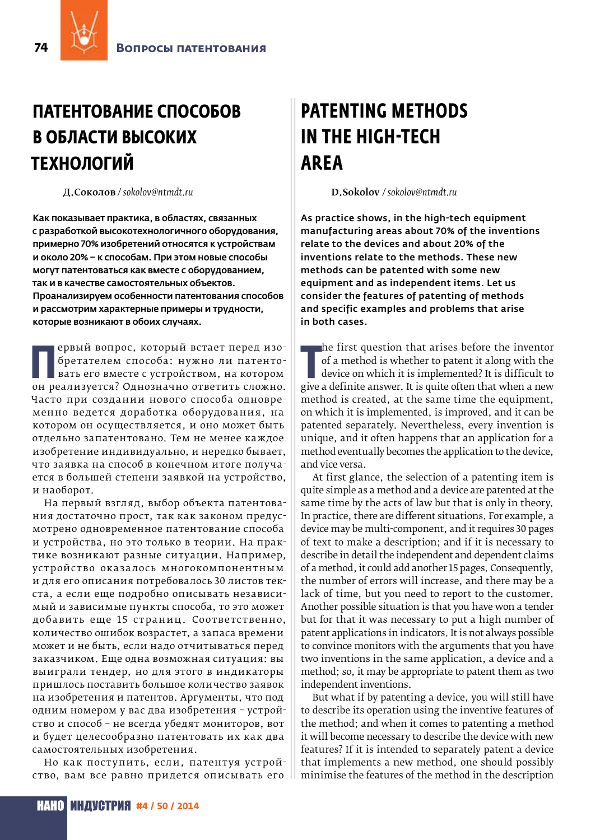## ПАТЕНТОВАНИЕ СПОСОБОВ В ОБЛАСТИ ВЫСОКИХ **ТЕХНОЛОГИЙ**

Л. Соколов / sokolov@ntmdt.ru

Как показывает практика, в областях, связанных с разработкой высокотехнологичного оборудования, примерно 70% изобретений относятся к устройствам и около 20% - к способам. При этом новые способы могут патентоваться как вместе с оборудованием, так и в качестве самостоятельных объектов. Проанализируем особенности патентования способов и рассмотрим характерные примеры и трудности, которые возникают в обоих случаях.

ервый вопрос, который встает перед изобретателем способа: нужно ли патентовать его вместе с устройством, на котором он реализуется? Однозначно ответить сложно. Часто при создании нового способа одновременно ведется доработка оборудования, на котором он осуществляется, и оно может быть отдельно запатентовано. Тем не менее каждое изобретение индивидуально, и нередко бывает, что заявка на способ в конечном итоге получается в большей степени заявкой на устройство, и наоборот.

На первый взгляд, выбор объекта патентования достаточно прост, так как законом предусмотрено одновременное патентование способа и устройства, но это только в теории. На практике возникают разные ситуации. Например, устройство оказалось многокомпонентным и для его описания потребовалось 30 листов текста, а если еще подробно описывать независимый и зависимые пункты способа, то это может добавить еще 15 страниц. Соответственно, количество ошибок возрастет, а запаса времени может и не быть, если надо отчитываться перед заказчиком. Еще одна возможная ситуация: вы выиграли тендер, но для этого в индикаторы пришлось поставить большое количество заявок на изобретения и патентов. Аргументы, что под одним номером у вас два изобретения - устройство и способ - не всегда убедят мониторов, вот и будет целесообразно патентовать их как два самостоятельных изобретения.

Но как поступить, если, патентуя устройство, вам все равно придется описывать его

## **PATENTING METHODS IN THE HIGH-TECH AREA**

D.Sokolov / sokolov@ntmdt.ru

As practice shows, in the high-tech equipment manufacturing areas about 70% of the inventions relate to the devices and about 20% of the inventions relate to the methods. These new methods can be patented with some new equipment and as independent items. Let us consider the features of patenting of methods and specific examples and problems that arise in both cases.

the first question that arises before the inventor of a method is whether to patent it along with the device on which it is implemented? It is difficult to give a definite answer. It is quite often that when a new method is created, at the same time the equipment, on which it is implemented, is improved, and it can be patented separately. Nevertheless, every invention is unique, and it often happens that an application for a method eventually becomes the application to the device, and vice versa.

At first glance, the selection of a patenting item is quite simple as a method and a device are patented at the same time by the acts of law but that is only in theory. In practice, there are different situations. For example, a device may be multi-component, and it requires 30 pages of text to make a description; and if it is necessary to describe in detail the independent and dependent claims of a method, it could add another 15 pages. Consequently, the number of errors will increase, and there may be a lack of time, but you need to report to the customer. Another possible situation is that you have won a tender but for that it was necessary to put a high number of patent applications in indicators. It is not always possible to convince monitors with the arguments that you have two inventions in the same application, a device and a method; so, it may be appropriate to patent them as two independent inventions.

But what if by patenting a device, you will still have to describe its operation using the inventive features of the method; and when it comes to patenting a method it will become necessary to describe the device with new features? If it is intended to separately patent a device that implements a new method, one should possibly minimise the features of the method in the description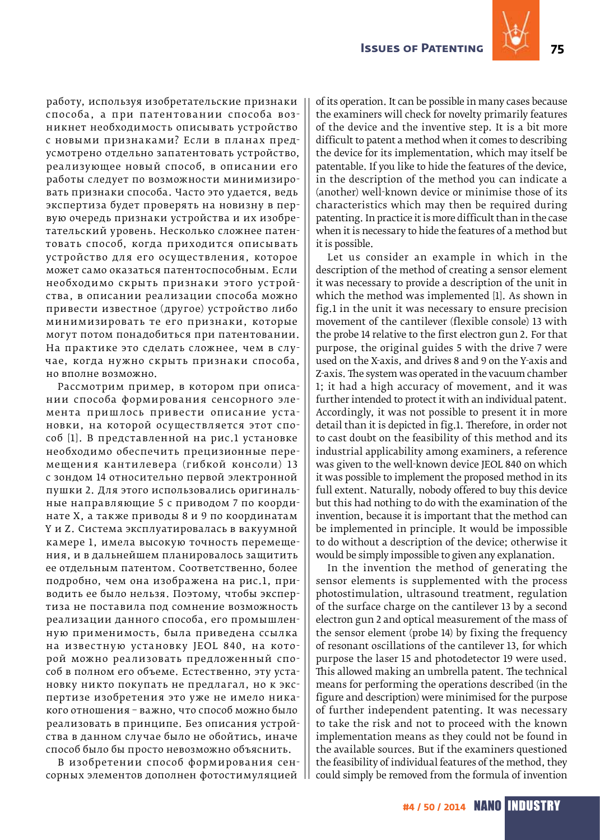

работу, используя изобретательские признаки способа, а при патентовании способа возникнет необходимость описывать устройство с новыми признаками? Если в планах предусмотрено отдельно запатентовать устройство, реализующее новый способ, в описании его работы следует по возможности минимизировать признаки способа. Часто это удается, ведь экспертиза будет проверять на новизну в первую очередь признаки устройства и их изобретательский уровень. Несколько сложнее патентовать способ, когда приходится описывать устройство для его осуществления, которое может само оказаться патентоспособным. Если необходимо скрыть признаки этого устройства, в описании реализации способа можно привести известное (другое) устройство либо минимизировать те его признаки, которые могут потом понадобиться при патентовании. На практике это сделать сложнее, чем в случае, когда нужно скрыть признаки способа, но вполне возможно.

Рассмотрим пример, в котором при описании способа формирования сенсорного элемента пришлось привести описание установки, на которой осуществляется этот способ [1]. В представленной на рис.1 установке необходимо обеспечить прецизионные перемещения кантилевера (гибкой консоли) 13 с зондом 14 относительно первой электронной пушки 2. Для этого использовались оригинальные направляющие 5 с приводом 7 по координате Х, а также приводы 8 и 9 по координатам Y и Z. Система эксплуатировалась в вакуумной камере 1, имела высокую точность перемещения, и в дальнейшем планировалось защитить ее отдельным патентом. Соответственно, более подробно, чем она изображена на рис.1, приводить ее было нельзя. Поэтому, чтобы экспертиза не поставила под сомнение возможность реализации данного способа, его промышленную применимость, была приведена ссылка на известную установку JEOL 840, на которой можно реализовать предложенный способ в полном его объеме. Естественно, эту установку никто покупать не предлагал, но к экспертизе изобретения это уже не имело никакого отношения – важно, что способ можно было реализовать в принципе. Без описания устройства в данном случае было не обойтись, иначе способ было бы просто невозможно объяснить.

В изобретении способ формирования сенсорных элементов дополнен фотостимуляцией of its operation. It can be possible in many cases because the examiners will check for novelty primarily features of the device and the inventive step. It is a bit more difficult to patent a method when it comes to describing the device for its implementation, which may itself be patentable. If you like to hide the features of the device, in the description of the method you can indicate a (another) well-known device or minimise those of its characteristics which may then be required during patenting. In practice it is more difficult than in the case when it is necessary to hide the features of a method but it is possible.

Let us consider an example in which in the description of the method of creating a sensor element it was necessary to provide a description of the unit in which the method was implemented [1]. As shown in fig.1 in the unit it was necessary to ensure precision movement of the cantilever (flexible console) 13 with the probe 14 relative to the first electron gun 2. For that purpose, the original guides 5 with the drive 7 were used on the X-axis, and drives 8 and 9 on the Y-axis and Z-axis. The system was operated in the vacuum chamber 1; it had a high accuracy of movement, and it was further intended to protect it with an individual patent. Accordingly, it was not possible to present it in more detail than it is depicted in fig.1. Therefore, in order not to cast doubt on the feasibility of this method and its industrial applicability among examiners, a reference was given to the well-known device JEOL 840 on which it was possible to implement the proposed method in its full extent. Naturally, nobody offered to buy this device but this had nothing to do with the examination of the invention, because it is important that the method can be implemented in principle. It would be impossible to do without a description of the device; otherwise it would be simply impossible to given any explanation.

In the invention the method of generating the sensor elements is supplemented with the process photostimulation, ultrasound treatment, regulation of the surface charge on the cantilever 13 by a second electron gun 2 and optical measurement of the mass of the sensor element (probe 14) by fixing the frequency of resonant oscillations of the cantilever 13, for which purpose the laser 15 and photodetector 19 were used. This allowed making an umbrella patent. The technical means for performing the operations described (in the figure and description) were minimised for the purpose of further independent patenting. It was necessary to take the risk and not to proceed with the known implementation means as they could not be found in the available sources. But if the examiners questioned the feasibility of individual features of the method, they could simply be removed from the formula of invention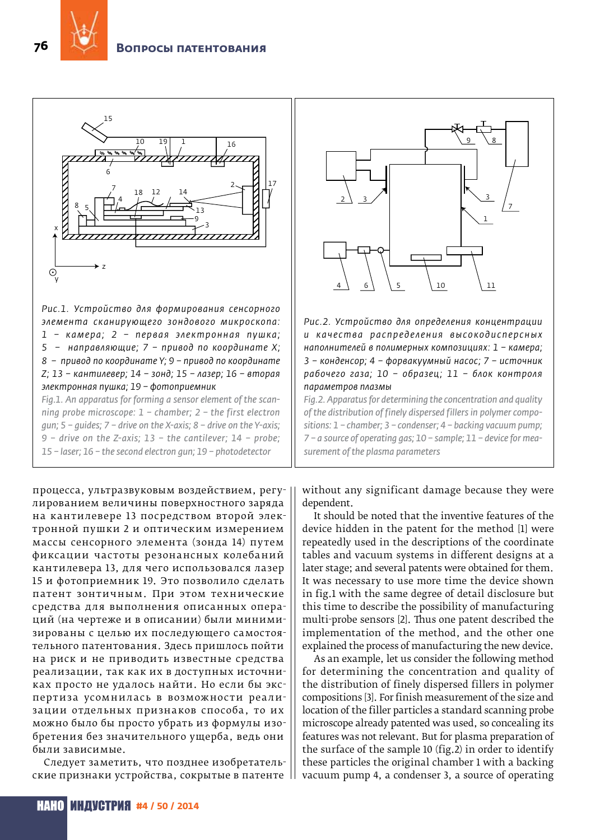

*Рис.1. Устройство для формирования сенсорного элемента сканирующего зондового микроскопа: 1 – к а м е р а; 2 – п е р в ая э л е к тр о нная пушк а; 5 – направляющие; 7 – привод по координате Х; 8 – привод по координате Y; 9 – привод по координате Z; 13 – кантилевер; 14 – зонд; 15 – лазер; 16 – вторая электронная пушка; 19 – фотоприемник Fig.1. An apparatus for forming a sensor element of the scan-*

*ning probe microscope: 1 – chamber; 2 – the first electron gun; 5 – guides; 7 – drive on the X-axis; 8 – drive on the Y-axis; 9 – drive on the Z-axis; 13 – the cantilever; 14 – probe; 15 – laser; 16 – the second electron gun; 19 – photodetector*

процесса, ультразвуковым воздействием, регулированием величины поверхностного заряда на кантилевере 13 посредством второй электронной пушки 2 и оптическим измерением массы сенсорного элемента (зонда 14) путем фиксации частоты резонансных колебаний кантилевера 13, для чего использовался лазер 15 и фотоприемник 19. Это позволило сделать патент зонтичным. При этом технические средства для выполнения описанных операций (на чертеже и в описании) были минимизированы с целью их последующего самостоятельного патентования. Здесь пришлось пойти на риск и не приводить известные средства реализации, так как их в доступных источниках просто не удалось найти. Но если бы экспертиза усомнилась в возможности реализации отдельных признаков способа, то их можно было бы просто убрать из формулы изобретения без значительного ущерба, ведь они были зависимые.

Следует заметить, что позднее изобретательские признаки устройства, сокрытые в патенте



*Рис.2. Устройство для определения концентрации*  и качества распределения высокодисперсных *наполнителей в полимерных композициях: 1 – камера; 3 – конденсор; 4 – форвакуумный насос; 7 – источник рабочего газа; 10 – образец; 11 – блок контроля параметров плазмы*

*Fig.2. Apparatus for determining the concentration and quality of the distribution of finely dispersed fillers in polymer compositions: 1 – chamber; 3 – condenser; 4 – backing vacuum pump; 7 – a source of operating gas; 10 – sample; 11 – device for measurement of the plasma parameters*

without any significant damage because they were dependent.

It should be noted that the inventive features of the device hidden in the patent for the method [1] were repeatedly used in the descriptions of the coordinate tables and vacuum systems in different designs at a later stage; and several patents were obtained for them. It was necessary to use more time the device shown in fig.1 with the same degree of detail disclosure but this time to describe the possibility of manufacturing multi-probe sensors [2]. Thus one patent described the implementation of the method, and the other one explained the process of manufacturing the new device.

As an example, let us consider the following method for determining the concentration and quality of the distribution of finely dispersed fillers in polymer compositions [3]. For finish measurement of the size and location of the filler particles a standard scanning probe microscope already patented was used, so concealing its features was not relevant. But for plasma preparation of the surface of the sample 10 (fig.2) in order to identify these particles the original chamber 1 with a backing vacuum pump 4, a condenser 3, a source of operating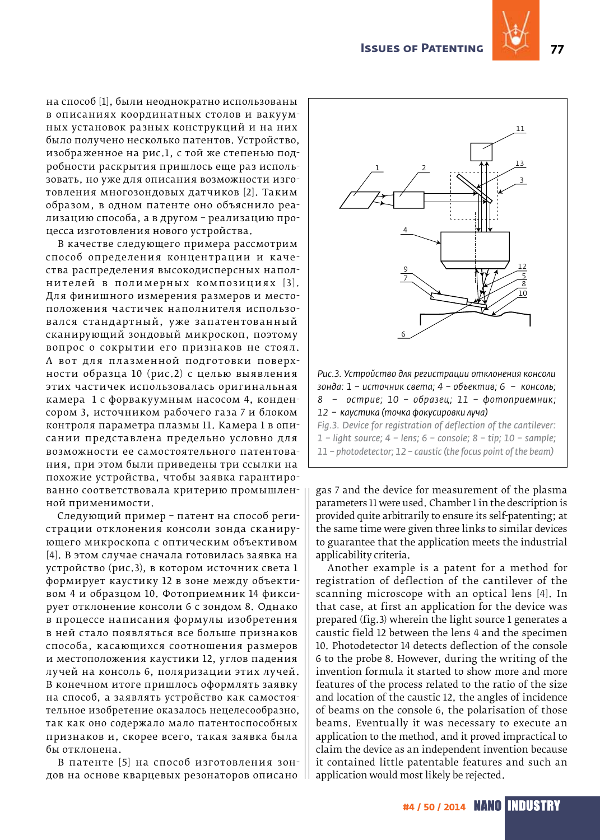

на способ [1], были неоднократно использованы в описаниях координатных столов и вакуумных установок разных конструкций и на них было получено несколько патентов. Устройство, изображенное на рис.1, с той же степенью подробности раскрытия пришлось еще раз использовать, но уже для описания возможности изготовления многозондовых датчиков [2]. Таким образом, в одном патенте оно объяснило реализацию способа, а в другом – реализацию процесса изготовления нового устройства.

В качестве следующего примера рассмотрим способ определения концентрации и качества распределения высокодисперсных наполнителей в полимерных композициях [3]. Для финишного измерения размеров и местоположения частичек наполнителя использовался стандартный, уже запатентованный сканирующий зондовый микроскоп, поэтому вопрос о сокрытии его признаков не стоял. А вот для плазменной подготовки поверхности образца 10 (рис.2) с целью выявления этих частичек использовалась оригинальная камера 1 с форвакуумным насосом 4, конденсором 3, источником рабочего газа 7 и блоком контроля параметра плазмы 11. Камера 1 в описании представлена предельно условно для возможности ее самостоятельного патентования, при этом были приведены три ссылки на похожие устройства, чтобы заявка гарантированно соответствовала критерию промышленной применимости.

Следующий пример – патент на способ регистрации отклонения консоли зонда сканирующего микроскопа с оптическим объективом [4]. В этом случае сначала готовилась заявка на устройство (рис.3), в котором источник света 1 формирует каустику 12 в зоне между объективом 4 и образцом 10. Фотоприемник 14 фиксирует отклонение консоли 6 с зондом 8. Однако в процессе написания формулы изобретения в ней стало появляться все больше признаков способа, касающихся соотношения размеров и местоположения каустики 12, углов падения лучей на консоль 6, поляризации этих лучей. В конечном итоге пришлось оформлять заявку на способ, а заявлять устройство как самостоятельное изобретение оказалось нецелесообразно, так как оно содержало мало патентоспособных признаков и, скорее всего, такая заявка была бы отклонена.

В патенте [5] на способ изготовления зондов на основе кварцевых резонаторов описано



gas 7 and the device for measurement of the plasma parameters 11 were used. Chamber 1 in the description is provided quite arbitrarily to ensure its self-patenting; at the same time were given three links to similar devices to guarantee that the application meets the industrial applicability criteria.

Another example is a patent for a method for registration of deflection of the cantilever of the scanning microscope with an optical lens [4]. In that case, at first an application for the device was prepared (fig.3) wherein the light source 1 generates a caustic field 12 between the lens 4 and the specimen 10. Photodetector 14 detects deflection of the console 6 to the probe 8. However, during the writing of the invention formula it started to show more and more features of the process related to the ratio of the size and location of the caustic 12, the angles of incidence of beams on the console 6, the polarisation of those beams. Eventually it was necessary to execute an application to the method, and it proved impractical to claim the device as an independent invention because it contained little patentable features and such an application would most likely be rejected.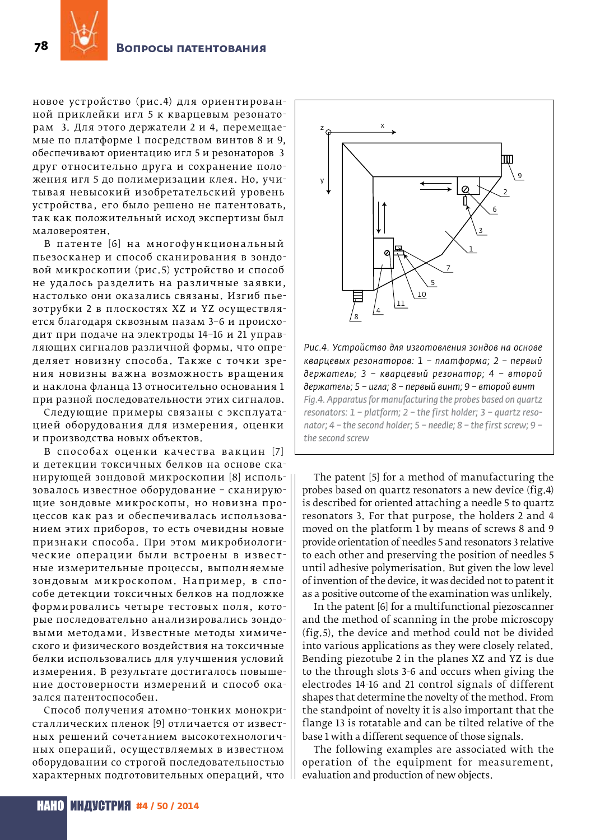

новое устройство (рис.4) для ориентированной приклейки игл 5 к кварцевым резонаторам 3. Для этого держатели 2 и 4, перемещаемые по платформе 1 посредством винтов 8 и 9, обеспечивают ориентацию игл 5 и резонаторов 3 друг относительно друга и сохранение положения игл 5 до полимеризации клея. Но, учитывая невысокий изобретательский уровень устройства, его было решено не патентовать, так как положительный исход экспертизы был маловероятен.

В патенте [6] на многофункциональный пьезосканер и способ сканирования в зондовой микроскопии (рис.5) устройство и способ не удалось разделить на различные заявки, настолько они оказались связаны. Изгиб пьезотрубки 2 в плоскостях XZ и YZ осуществляется благодаря сквозным пазам 3-6 и происходит при подаче на электроды 14-16 и 21 управляющих сигналов различной формы, что определяет новизну способа. Также с точки зрения новизны важна возможность вращения и наклона фланца 13 относительно основания 1 при разной последовательности этих сигналов.

Следующие примеры связаны с эксплуатацией оборудования для измерения, оценки и производства новых объектов.

В способах оценки качества вакцин [7] и детекции токсичных белков на основе сканирующей зондовой микроскопии [8] использовалось известное оборудование - сканирующие зондовые микроскопы, но новизна процессов как раз и обеспечивалась использованием этих приборов, то есть очевидны новые признаки способа. При этом микробиологические операции были встроены в известные измерительные процессы, выполняемые зондовым микроскопом. Например, в способе детекции токсичных белков на подложке формировались четыре тестовых поля, которые последовательно анализировались зондовыми методами. Известные методы химического и физического воздействия на токсичные белки использовались для улучшения условий измерения. В результате достигалось повышение достоверности измерений и способ оказался патентоспособен.

Способ получения атомно-тонких монокристаллических пленок [9] отличается от известных решений сочетанием высокотехнологичных операций, осуществляемых в известном оборудовании со строгой последовательностью характерных подготовительных операций, что



Рис.4. Устройство для изготовления зондов на основе кварцевых резонаторов: 1 - платформа; 2 - первый держатель; 3 - кварцевый резонатор; 4 - второй держатель; 5 - игла; 8 - первый винт; 9 - второй винт Fig.4. Apparatus for manufacturing the probes based on quartz resonators:  $1$  - platform;  $2$  - the first holder;  $3$  - quartz resonator;  $4$  – the second holder;  $5$  – needle;  $8$  – the first screw;  $9$  – the second screw

The patent [5] for a method of manufacturing the probes based on quartz resonators a new device (fig.4) is described for oriented attaching a needle 5 to quartz resonators 3. For that purpose, the holders 2 and 4 moved on the platform 1 by means of screws 8 and 9 provide orientation of needles 5 and resonators 3 relative to each other and preserving the position of needles 5 until adhesive polymerisation. But given the low level of invention of the device, it was decided not to patent it as a positive outcome of the examination was unlikely.

In the patent [6] for a multifunctional piezoscanner and the method of scanning in the probe microscopy (fig.5), the device and method could not be divided into various applications as they were closely related. Bending piezotube 2 in the planes XZ and YZ is due to the through slots 3-6 and occurs when giving the electrodes 14-16 and 21 control signals of different shapes that determine the novelty of the method. From the standpoint of novelty it is also important that the flange 13 is rotatable and can be tilted relative of the base 1 with a different sequence of those signals.

The following examples are associated with the operation of the equipment for measurement, evaluation and production of new objects.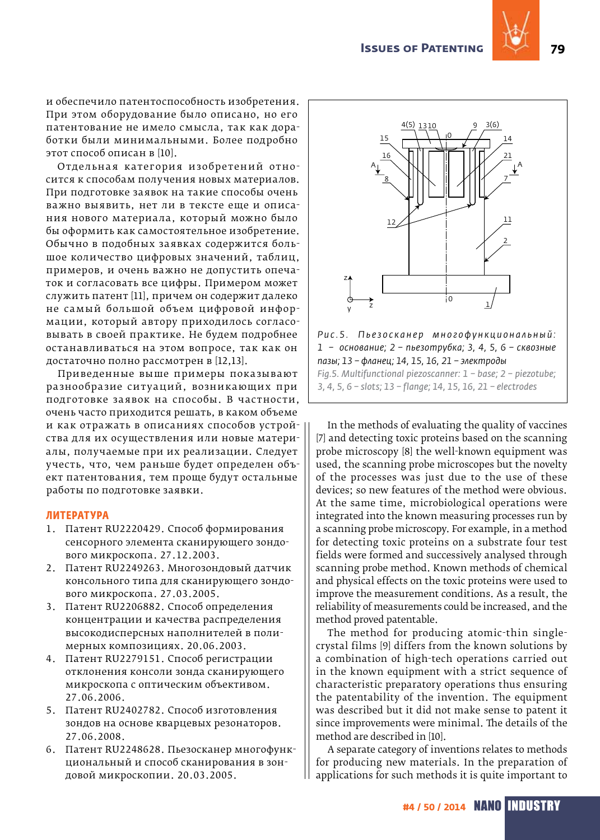

и обеспечило патентоспособность изобретения. При этом оборудование было описано, но его патентование не имело смысла, так как доработки были минимальными. Более подробно этот способ описан в [10].

Отдельная категория изобретений относится к способам получения новых материалов. При подготовке заявок на такие способы очень важно выявить, нет ли в тексте еще и описания нового материала, который можно было бы оформить как самостоятельное изобретение. Обычно в подобных заявках содержится большое количество цифровых значений, таблиц, примеров, и очень важно не допустить опечаток и согласовать все цифры. Примером может служить патент [11], причем он содержит далеко не самый большой объем цифровой информации, который автору приходилось согласовывать в своей практике. Не будем подробнее останавливаться на этом вопросе, так как он достаточно полно рассмотрен в [12,13].

Приведенные выше примеры показывают разнообразие ситуаций, возникающих при подготовке заявок на способы. В частности, очень часто приходится решать, в каком объеме и как отражать в описаниях способов устройства для их осуществления или новые материалы, получаемые при их реализации. Следует учесть, что, чем раньше будет определен объект патентования, тем проще будут остальные работы по подготовке заявки.

## **Литература**

- 1. Патент RU2220429. Способ формирования сенсорного элемента сканирующего зондового микроскопа. 27.12.2003.
- 2. Патент RU2249263. Многозондовый датчик консольного типа для сканирующего зондового микроскопа. 27.03.2005.
- 3. Патент RU2206882. Способ определения концентрации и качества распределения высокодисперсных наполнителей в полимерных композициях. 20.06.2003.
- 4. Патент RU2279151. Способ регистрации отклонения консоли зонда сканирующего микроскопа с оптическим объективом. 27.06.2006.
- 5. Патент RU2402782. Способ изготовления зондов на основе кварцевых резонаторов. 27.06.2008.
- 6. Патент RU2248628. Пьезосканер многофункциональный и способ сканирования в зондовой микроскопии. 20.03.2005.



Рис. 5. Пьезосканер многофункциональный: *1 – основание; 2 – пьезотрубка; 3, 4, 5, 6 – сквозные пазы; 13 – фланец; 14, 15, 16, 21 – электроды Fig.5. Multifunctional piezoscanner: 1 – base; 2 – piezotube; 3, 4, 5, 6 – slots; 13 – flange; 14, 15, 16, 21 – electrodes*

In the methods of evaluating the quality of vaccines [7] and detecting toxic proteins based on the scanning probe microscopy [8] the well-known equipment was used, the scanning probe microscopes but the novelty of the processes was just due to the use of these devices; so new features of the method were obvious. At the same time, microbiological operations were integrated into the known measuring processes run by a scanning probe microscopy. For example, in a method for detecting toxic proteins on a substrate four test fields were formed and successively analysed through scanning probe method. Known methods of chemical and physical effects on the toxic proteins were used to improve the measurement conditions. As a result, the reliability of measurements could be increased, and the method proved patentable.

The method for producing atomic-thin singlecrystal films [9] differs from the known solutions by a combination of high-tech operations carried out in the known equipment with a strict sequence of characteristic preparatory operations thus ensuring the patentability of the invention. The equipment was described but it did not make sense to patent it since improvements were minimal. The details of the method are described in [10].

A separate category of inventions relates to methods for producing new materials. In the preparation of applications for such methods it is quite important to